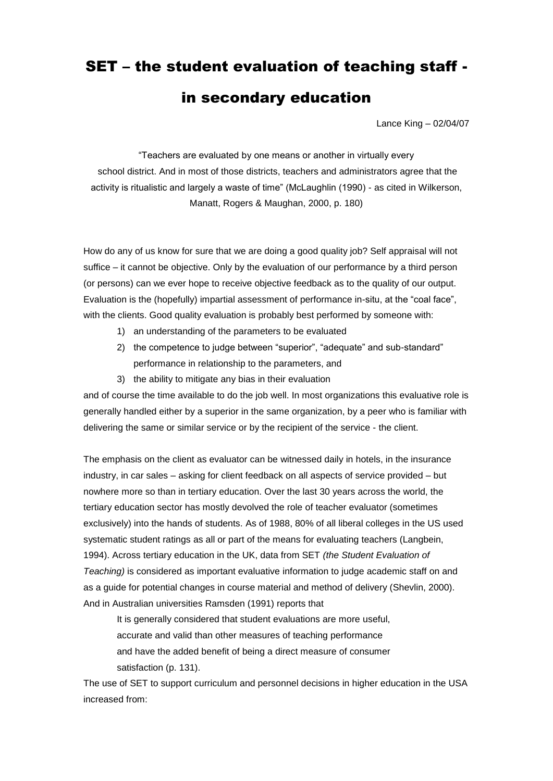# SET – the student evaluation of teaching staff -

## in secondary education

Lance King – 02/04/07

"Teachers are evaluated by one means or another in virtually every school district. And in most of those districts, teachers and administrators agree that the activity is ritualistic and largely a waste of time" (McLaughlin (1990) - as cited in Wilkerson, Manatt, Rogers & Maughan, 2000, p. 180)

How do any of us know for sure that we are doing a good quality job? Self appraisal will not suffice – it cannot be objective. Only by the evaluation of our performance by a third person (or persons) can we ever hope to receive objective feedback as to the quality of our output. Evaluation is the (hopefully) impartial assessment of performance in-situ, at the "coal face", with the clients. Good quality evaluation is probably best performed by someone with:

- 1) an understanding of the parameters to be evaluated
- 2) the competence to judge between "superior", "adequate" and sub-standard" performance in relationship to the parameters, and
- 3) the ability to mitigate any bias in their evaluation

and of course the time available to do the job well. In most organizations this evaluative role is generally handled either by a superior in the same organization, by a peer who is familiar with delivering the same or similar service or by the recipient of the service - the client.

The emphasis on the client as evaluator can be witnessed daily in hotels, in the insurance industry, in car sales – asking for client feedback on all aspects of service provided – but nowhere more so than in tertiary education. Over the last 30 years across the world, the tertiary education sector has mostly devolved the role of teacher evaluator (sometimes exclusively) into the hands of students. As of 1988, 80% of all liberal colleges in the US used systematic student ratings as all or part of the means for evaluating teachers (Langbein, 1994). Across tertiary education in the UK, data from SET *(the Student Evaluation of Teaching)* is considered as important evaluative information to judge academic staff on and as a guide for potential changes in course material and method of delivery (Shevlin, 2000). And in Australian universities Ramsden (1991) reports that

It is generally considered that student evaluations are more useful, accurate and valid than other measures of teaching performance and have the added benefit of being a direct measure of consumer satisfaction (p. 131).

The use of SET to support curriculum and personnel decisions in higher education in the USA increased from: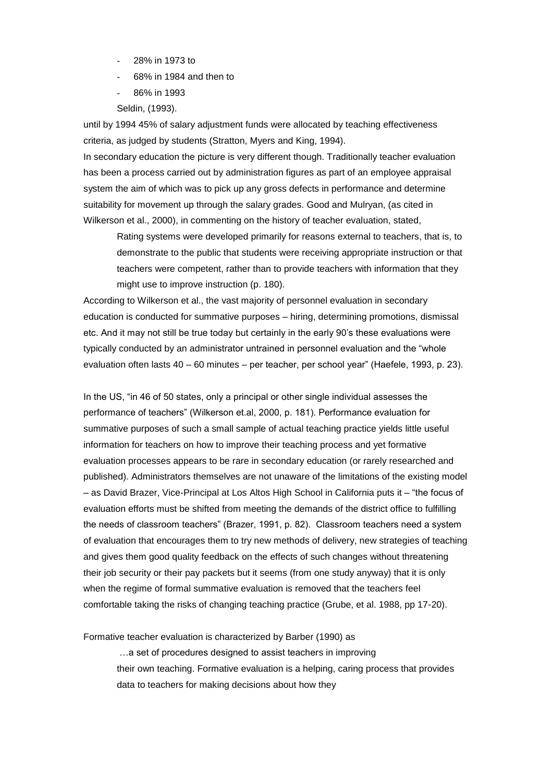- 28% in 1973 to
- 68% in 1984 and then to
- 86% in 1993
- Seldin, (1993).

until by 1994 45% of salary adjustment funds were allocated by teaching effectiveness criteria, as judged by students (Stratton, Myers and King, 1994).

In secondary education the picture is very different though. Traditionally teacher evaluation has been a process carried out by administration figures as part of an employee appraisal system the aim of which was to pick up any gross defects in performance and determine suitability for movement up through the salary grades. Good and Mulryan, (as cited in Wilkerson et al., 2000), in commenting on the history of teacher evaluation, stated,

Rating systems were developed primarily for reasons external to teachers, that is, to demonstrate to the public that students were receiving appropriate instruction or that teachers were competent, rather than to provide teachers with information that they might use to improve instruction (p. 180).

According to Wilkerson et al., the vast majority of personnel evaluation in secondary education is conducted for summative purposes – hiring, determining promotions, dismissal etc. And it may not still be true today but certainly in the early 90"s these evaluations were typically conducted by an administrator untrained in personnel evaluation and the "whole evaluation often lasts 40 – 60 minutes – per teacher, per school year" (Haefele, 1993, p. 23).

In the US, "in 46 of 50 states, only a principal or other single individual assesses the performance of teachers" (Wilkerson et.al, 2000, p. 181). Performance evaluation for summative purposes of such a small sample of actual teaching practice yields little useful information for teachers on how to improve their teaching process and yet formative evaluation processes appears to be rare in secondary education (or rarely researched and published). Administrators themselves are not unaware of the limitations of the existing model – as David Brazer, Vice-Principal at Los Altos High School in California puts it – "the focus of evaluation efforts must be shifted from meeting the demands of the district office to fulfilling the needs of classroom teachers" (Brazer, 1991, p. 82). Classroom teachers need a system of evaluation that encourages them to try new methods of delivery, new strategies of teaching and gives them good quality feedback on the effects of such changes without threatening their job security or their pay packets but it seems (from one study anyway) that it is only when the regime of formal summative evaluation is removed that the teachers feel comfortable taking the risks of changing teaching practice (Grube, et al. 1988, pp 17-20).

Formative teacher evaluation is characterized by Barber (1990) as

…a set of procedures designed to assist teachers in improving their own teaching. Formative evaluation is a helping, caring process that provides data to teachers for making decisions about how they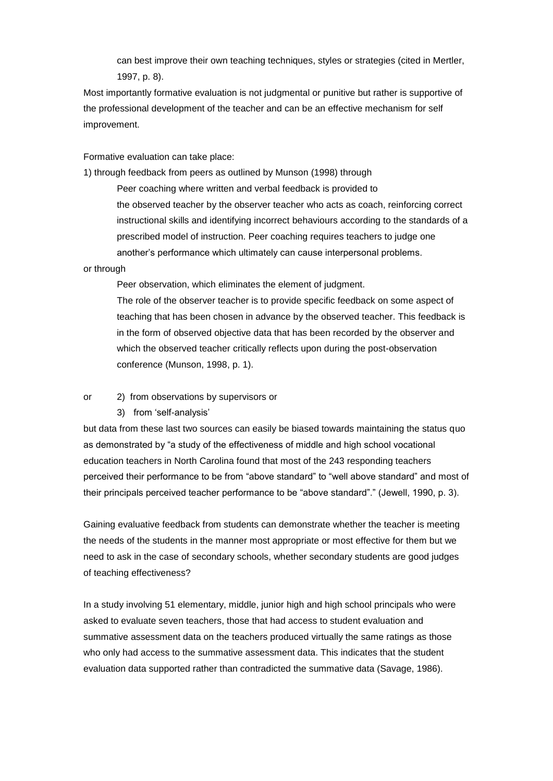can best improve their own teaching techniques, styles or strategies (cited in Mertler, 1997, p. 8).

Most importantly formative evaluation is not judgmental or punitive but rather is supportive of the professional development of the teacher and can be an effective mechanism for self improvement.

Formative evaluation can take place:

1) through feedback from peers as outlined by Munson (1998) through

Peer coaching where written and verbal feedback is provided to the observed teacher by the observer teacher who acts as coach, reinforcing correct instructional skills and identifying incorrect behaviours according to the standards of a prescribed model of instruction. Peer coaching requires teachers to judge one another"s performance which ultimately can cause interpersonal problems.

#### or through

Peer observation, which eliminates the element of judgment.

The role of the observer teacher is to provide specific feedback on some aspect of teaching that has been chosen in advance by the observed teacher. This feedback is in the form of observed objective data that has been recorded by the observer and which the observed teacher critically reflects upon during the post-observation conference (Munson, 1998, p. 1).

or 2) from observations by supervisors or

3) from "self-analysis"

but data from these last two sources can easily be biased towards maintaining the status quo as demonstrated by "a study of the effectiveness of middle and high school vocational education teachers in North Carolina found that most of the 243 responding teachers perceived their performance to be from "above standard" to "well above standard" and most of their principals perceived teacher performance to be "above standard"." (Jewell, 1990, p. 3).

Gaining evaluative feedback from students can demonstrate whether the teacher is meeting the needs of the students in the manner most appropriate or most effective for them but we need to ask in the case of secondary schools, whether secondary students are good judges of teaching effectiveness?

In a study involving 51 elementary, middle, junior high and high school principals who were asked to evaluate seven teachers, those that had access to student evaluation and summative assessment data on the teachers produced virtually the same ratings as those who only had access to the summative assessment data. This indicates that the student evaluation data supported rather than contradicted the summative data (Savage, 1986).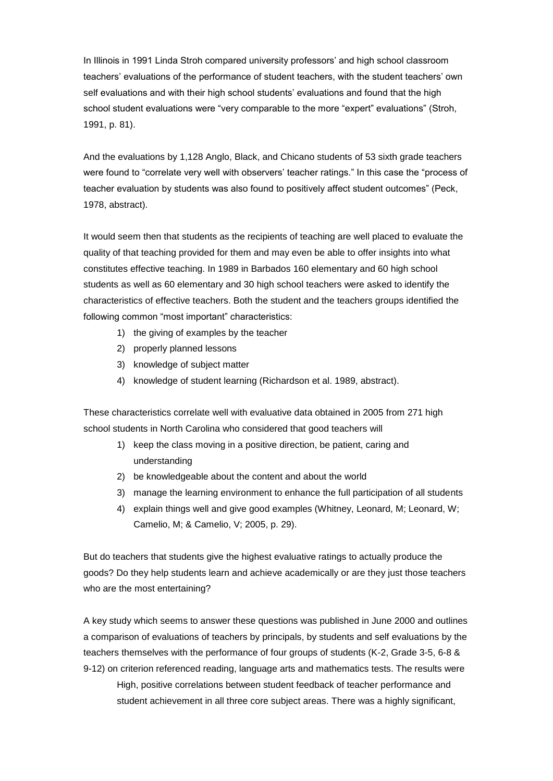In Illinois in 1991 Linda Stroh compared university professors" and high school classroom teachers" evaluations of the performance of student teachers, with the student teachers" own self evaluations and with their high school students" evaluations and found that the high school student evaluations were "very comparable to the more "expert" evaluations" (Stroh, 1991, p. 81).

And the evaluations by 1,128 Anglo, Black, and Chicano students of 53 sixth grade teachers were found to "correlate very well with observers' teacher ratings." In this case the "process of teacher evaluation by students was also found to positively affect student outcomes" (Peck, 1978, abstract).

It would seem then that students as the recipients of teaching are well placed to evaluate the quality of that teaching provided for them and may even be able to offer insights into what constitutes effective teaching. In 1989 in Barbados 160 elementary and 60 high school students as well as 60 elementary and 30 high school teachers were asked to identify the characteristics of effective teachers. Both the student and the teachers groups identified the following common "most important" characteristics:

- 1) the giving of examples by the teacher
- 2) properly planned lessons
- 3) knowledge of subject matter
- 4) knowledge of student learning (Richardson et al. 1989, abstract).

These characteristics correlate well with evaluative data obtained in 2005 from 271 high school students in North Carolina who considered that good teachers will

- 1) keep the class moving in a positive direction, be patient, caring and understanding
- 2) be knowledgeable about the content and about the world
- 3) manage the learning environment to enhance the full participation of all students
- 4) explain things well and give good examples (Whitney, Leonard, M; Leonard, W; Camelio, M; & Camelio, V; 2005, p. 29).

But do teachers that students give the highest evaluative ratings to actually produce the goods? Do they help students learn and achieve academically or are they just those teachers who are the most entertaining?

A key study which seems to answer these questions was published in June 2000 and outlines a comparison of evaluations of teachers by principals, by students and self evaluations by the teachers themselves with the performance of four groups of students (K-2, Grade 3-5, 6-8 & 9-12) on criterion referenced reading, language arts and mathematics tests. The results were High, positive correlations between student feedback of teacher performance and student achievement in all three core subject areas. There was a highly significant,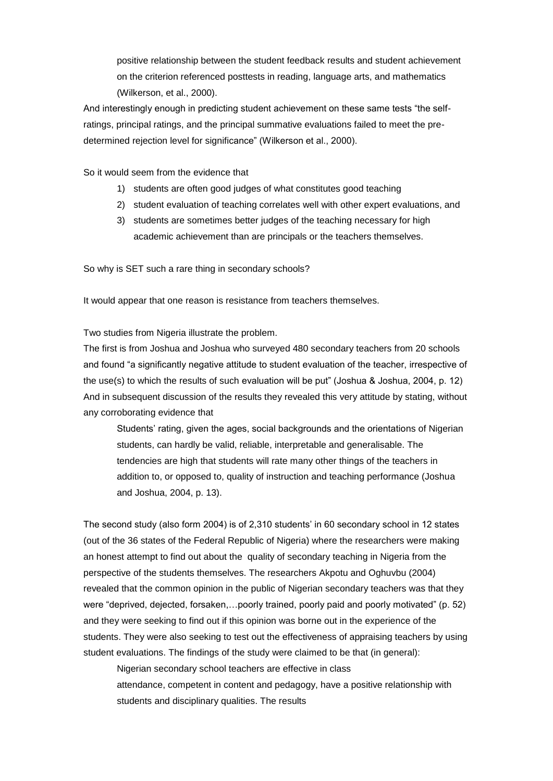positive relationship between the student feedback results and student achievement on the criterion referenced posttests in reading, language arts, and mathematics (Wilkerson, et al., 2000).

And interestingly enough in predicting student achievement on these same tests "the selfratings, principal ratings, and the principal summative evaluations failed to meet the predetermined rejection level for significance" (Wilkerson et al., 2000).

So it would seem from the evidence that

- 1) students are often good judges of what constitutes good teaching
- 2) student evaluation of teaching correlates well with other expert evaluations, and
- 3) students are sometimes better judges of the teaching necessary for high academic achievement than are principals or the teachers themselves.

So why is SET such a rare thing in secondary schools?

It would appear that one reason is resistance from teachers themselves.

Two studies from Nigeria illustrate the problem.

The first is from Joshua and Joshua who surveyed 480 secondary teachers from 20 schools and found "a significantly negative attitude to student evaluation of the teacher, irrespective of the use(s) to which the results of such evaluation will be put" (Joshua & Joshua, 2004, p. 12) And in subsequent discussion of the results they revealed this very attitude by stating, without any corroborating evidence that

Students" rating, given the ages, social backgrounds and the orientations of Nigerian students, can hardly be valid, reliable, interpretable and generalisable. The tendencies are high that students will rate many other things of the teachers in addition to, or opposed to, quality of instruction and teaching performance (Joshua and Joshua, 2004, p. 13).

The second study (also form 2004) is of 2,310 students' in 60 secondary school in 12 states (out of the 36 states of the Federal Republic of Nigeria) where the researchers were making an honest attempt to find out about the quality of secondary teaching in Nigeria from the perspective of the students themselves. The researchers Akpotu and Oghuvbu (2004) revealed that the common opinion in the public of Nigerian secondary teachers was that they were "deprived, dejected, forsaken,…poorly trained, poorly paid and poorly motivated" (p. 52) and they were seeking to find out if this opinion was borne out in the experience of the students. They were also seeking to test out the effectiveness of appraising teachers by using student evaluations. The findings of the study were claimed to be that (in general):

Nigerian secondary school teachers are effective in class attendance, competent in content and pedagogy, have a positive relationship with students and disciplinary qualities. The results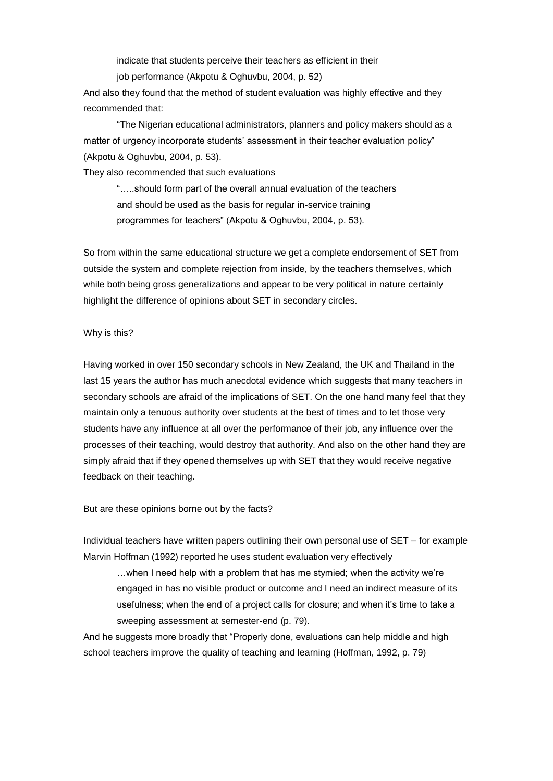indicate that students perceive their teachers as efficient in their

job performance (Akpotu & Oghuvbu, 2004, p. 52)

And also they found that the method of student evaluation was highly effective and they recommended that:

"The Nigerian educational administrators, planners and policy makers should as a matter of urgency incorporate students" assessment in their teacher evaluation policy" (Akpotu & Oghuvbu, 2004, p. 53).

They also recommended that such evaluations

"…..should form part of the overall annual evaluation of the teachers and should be used as the basis for regular in-service training programmes for teachers" (Akpotu & Oghuvbu, 2004, p. 53).

So from within the same educational structure we get a complete endorsement of SET from outside the system and complete rejection from inside, by the teachers themselves, which while both being gross generalizations and appear to be very political in nature certainly highlight the difference of opinions about SET in secondary circles.

#### Why is this?

Having worked in over 150 secondary schools in New Zealand, the UK and Thailand in the last 15 years the author has much anecdotal evidence which suggests that many teachers in secondary schools are afraid of the implications of SET. On the one hand many feel that they maintain only a tenuous authority over students at the best of times and to let those very students have any influence at all over the performance of their job, any influence over the processes of their teaching, would destroy that authority. And also on the other hand they are simply afraid that if they opened themselves up with SET that they would receive negative feedback on their teaching.

But are these opinions borne out by the facts?

Individual teachers have written papers outlining their own personal use of SET – for example Marvin Hoffman (1992) reported he uses student evaluation very effectively

…when I need help with a problem that has me stymied; when the activity we"re engaged in has no visible product or outcome and I need an indirect measure of its usefulness; when the end of a project calls for closure; and when it's time to take a sweeping assessment at semester-end (p. 79).

And he suggests more broadly that "Properly done, evaluations can help middle and high school teachers improve the quality of teaching and learning (Hoffman, 1992, p. 79)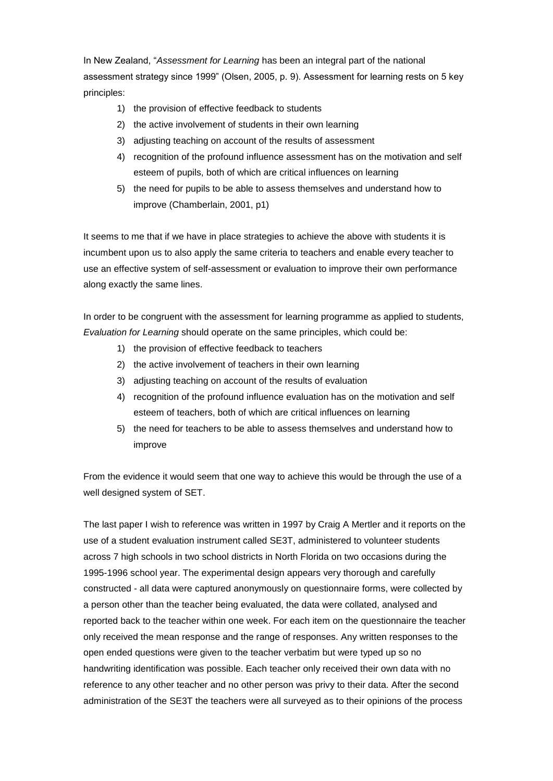In New Zealand, "*Assessment for Learning* has been an integral part of the national assessment strategy since 1999" (Olsen, 2005, p. 9). Assessment for learning rests on 5 key principles:

- 1) the provision of effective feedback to students
- 2) the active involvement of students in their own learning
- 3) adjusting teaching on account of the results of assessment
- 4) recognition of the profound influence assessment has on the motivation and self esteem of pupils, both of which are critical influences on learning
- 5) the need for pupils to be able to assess themselves and understand how to improve (Chamberlain, 2001, p1)

It seems to me that if we have in place strategies to achieve the above with students it is incumbent upon us to also apply the same criteria to teachers and enable every teacher to use an effective system of self-assessment or evaluation to improve their own performance along exactly the same lines.

In order to be congruent with the assessment for learning programme as applied to students, *Evaluation for Learning* should operate on the same principles, which could be:

- 1) the provision of effective feedback to teachers
- 2) the active involvement of teachers in their own learning
- 3) adjusting teaching on account of the results of evaluation
- 4) recognition of the profound influence evaluation has on the motivation and self esteem of teachers, both of which are critical influences on learning
- 5) the need for teachers to be able to assess themselves and understand how to improve

From the evidence it would seem that one way to achieve this would be through the use of a well designed system of SET.

The last paper I wish to reference was written in 1997 by Craig A Mertler and it reports on the use of a student evaluation instrument called SE3T, administered to volunteer students across 7 high schools in two school districts in North Florida on two occasions during the 1995-1996 school year. The experimental design appears very thorough and carefully constructed - all data were captured anonymously on questionnaire forms, were collected by a person other than the teacher being evaluated, the data were collated, analysed and reported back to the teacher within one week. For each item on the questionnaire the teacher only received the mean response and the range of responses. Any written responses to the open ended questions were given to the teacher verbatim but were typed up so no handwriting identification was possible. Each teacher only received their own data with no reference to any other teacher and no other person was privy to their data. After the second administration of the SE3T the teachers were all surveyed as to their opinions of the process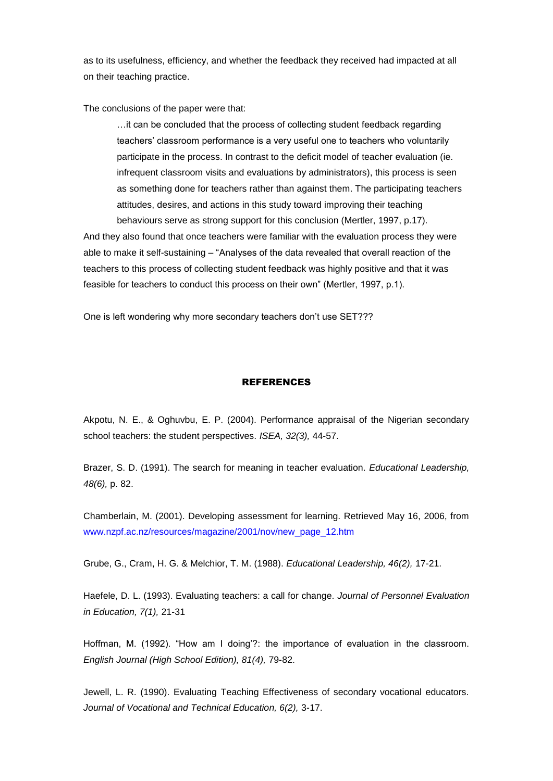as to its usefulness, efficiency, and whether the feedback they received had impacted at all on their teaching practice.

The conclusions of the paper were that:

…it can be concluded that the process of collecting student feedback regarding teachers" classroom performance is a very useful one to teachers who voluntarily participate in the process. In contrast to the deficit model of teacher evaluation (ie. infrequent classroom visits and evaluations by administrators), this process is seen as something done for teachers rather than against them. The participating teachers attitudes, desires, and actions in this study toward improving their teaching behaviours serve as strong support for this conclusion (Mertler, 1997, p.17).

And they also found that once teachers were familiar with the evaluation process they were able to make it self-sustaining – "Analyses of the data revealed that overall reaction of the teachers to this process of collecting student feedback was highly positive and that it was feasible for teachers to conduct this process on their own" (Mertler, 1997, p.1).

One is left wondering why more secondary teachers don"t use SET???

### REFERENCES

Akpotu, N. E., & Oghuvbu, E. P. (2004). Performance appraisal of the Nigerian secondary school teachers: the student perspectives. *ISEA, 32(3),* 44-57.

Brazer, S. D. (1991). The search for meaning in teacher evaluation. *Educational Leadership, 48(6),* p. 82.

Chamberlain, M. (2001). Developing assessment for learning. Retrieved May 16, 2006, from [www.nzpf.ac.nz/resources/magazine/2001/nov/new\\_page\\_12.htm](http://www.nzpf.ac.nz/resources/magazine/2001/nov/new_page_12.htm)

Grube, G., Cram, H. G. & Melchior, T. M. (1988). *Educational Leadership, 46(2),* 17-21.

Haefele, D. L. (1993). Evaluating teachers: a call for change. *Journal of Personnel Evaluation in Education, 7(1),* 21-31

Hoffman, M. (1992). "How am I doing'?: the importance of evaluation in the classroom. *English Journal (High School Edition), 81(4),* 79-82.

Jewell, L. R. (1990). Evaluating Teaching Effectiveness of secondary vocational educators. *Journal of Vocational and Technical Education, 6(2),* 3-17.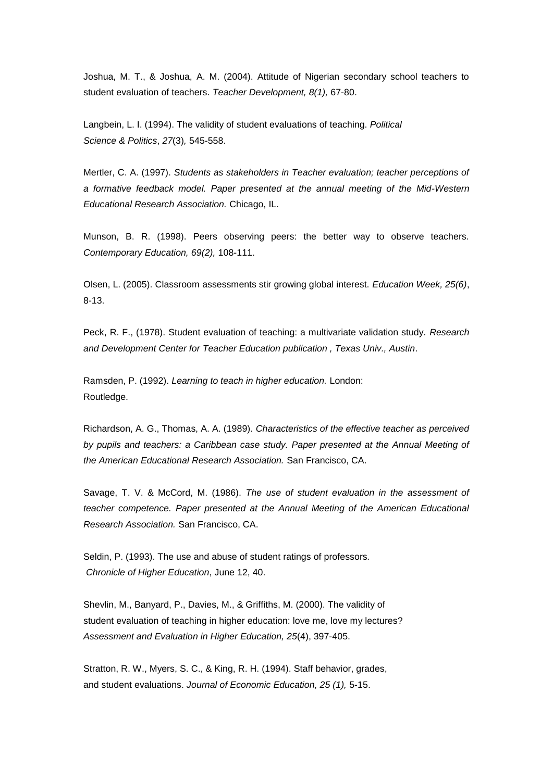Joshua, M. T., & Joshua, A. M. (2004). Attitude of Nigerian secondary school teachers to student evaluation of teachers. *Teacher Development, 8(1),* 67-80.

Langbein, L. I. (1994). The validity of student evaluations of teaching. *Political Science & Politics*, *27*(3)*,* 545-558.

Mertler, C. A. (1997). *Students as stakeholders in Teacher evaluation; teacher perceptions of a formative feedback model. Paper presented at the annual meeting of the Mid-Western Educational Research Association.* Chicago, IL.

Munson, B. R. (1998). Peers observing peers: the better way to observe teachers. *Contemporary Education, 69(2),* 108-111.

Olsen, L. (2005). Classroom assessments stir growing global interest. *Education Week, 25(6)*, 8-13.

Peck, R. F., (1978). Student evaluation of teaching: a multivariate validation study. *Research and Development Center for Teacher Education publication , Texas Univ., Austin*.

Ramsden, P. (1992). *Learning to teach in higher education.* London: Routledge.

Richardson, A. G., Thomas, A. A. (1989). *Characteristics of the effective teacher as perceived by pupils and teachers: a Caribbean case study. Paper presented at the Annual Meeting of the American Educational Research Association.* San Francisco, CA.

Savage, T. V. & McCord, M. (1986). *The use of student evaluation in the assessment of teacher competence. Paper presented at the Annual Meeting of the American Educational Research Association.* San Francisco, CA.

Seldin, P. (1993). The use and abuse of student ratings of professors*. Chronicle of Higher Education*, June 12, 40.

Shevlin, M., Banyard, P., Davies, M., & Griffiths, M. (2000). The validity of student evaluation of teaching in higher education: love me, love my lectures? *Assessment and Evaluation in Higher Education, 25*(4), 397-405.

Stratton, R. W., Myers, S. C., & King, R. H. (1994). Staff behavior, grades, and student evaluations. *Journal of Economic Education, 25 (1),* 5-15.